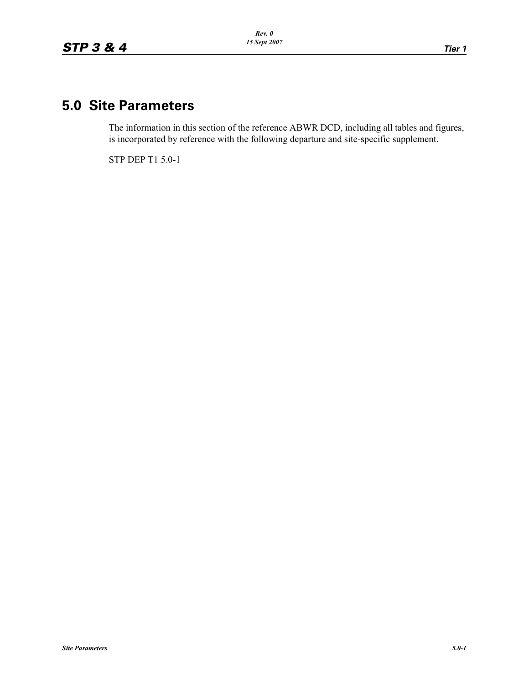## **5.0 Site Parameters**

The information in this section of the reference ABWR DCD, including all tables and figures, is incorporated by reference with the following departure and site-specific supplement.

STP DEP T1 5.0-1